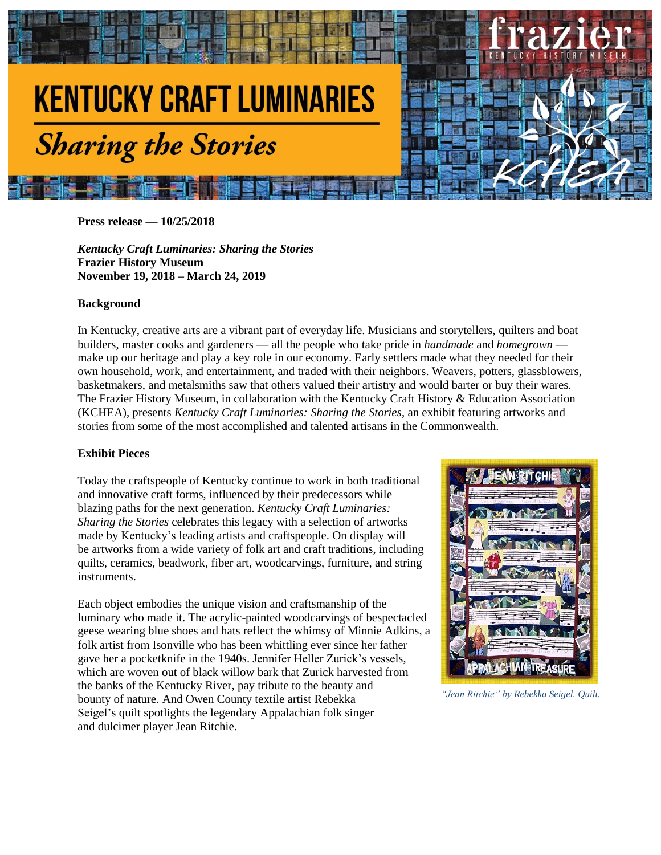

**Press release — 10/25/2018**

*Kentucky Craft Luminaries: Sharing the Stories* **Frazier History Museum November 19, 2018 – March 24, 2019**

#### **Background**

In Kentucky, creative arts are a vibrant part of everyday life. Musicians and storytellers, quilters and boat builders, master cooks and gardeners — all the people who take pride in *handmade* and *homegrown* make up our heritage and play a key role in our economy. Early settlers made what they needed for their own household, work, and entertainment, and traded with their neighbors. Weavers, potters, glassblowers, basketmakers, and metalsmiths saw that others valued their artistry and would barter or buy their wares. The Frazier History Museum, in collaboration with the Kentucky Craft History & Education Association (KCHEA), presents *Kentucky Craft Luminaries: Sharing the Stories*, an exhibit featuring artworks and stories from some of the most accomplished and talented artisans in the Commonwealth.

#### **Exhibit Pieces**

Today the craftspeople of Kentucky continue to work in both traditional and innovative craft forms, influenced by their predecessors while blazing paths for the next generation. *Kentucky Craft Luminaries: Sharing the Stories* celebrates this legacy with a selection of artworks made by Kentucky's leading artists and craftspeople. On display will be artworks from a wide variety of folk art and craft traditions, including quilts, ceramics, beadwork, fiber art, woodcarvings, furniture, and string instruments.

Each object embodies the unique vision and craftsmanship of the luminary who made it. The acrylic-painted woodcarvings of bespectacled geese wearing blue shoes and hats reflect the whimsy of Minnie Adkins, a folk artist from Isonville who has been whittling ever since her father gave her a pocketknife in the 1940s. Jennifer Heller Zurick's vessels, which are woven out of black willow bark that Zurick harvested from the banks of the Kentucky River, pay tribute to the beauty and bounty of nature. And Owen County textile artist Rebekka Seigel's quilt spotlights the legendary Appalachian folk singer and dulcimer player Jean Ritchie.



 *"Jean Ritchie" by Rebekka Seigel. Quilt.*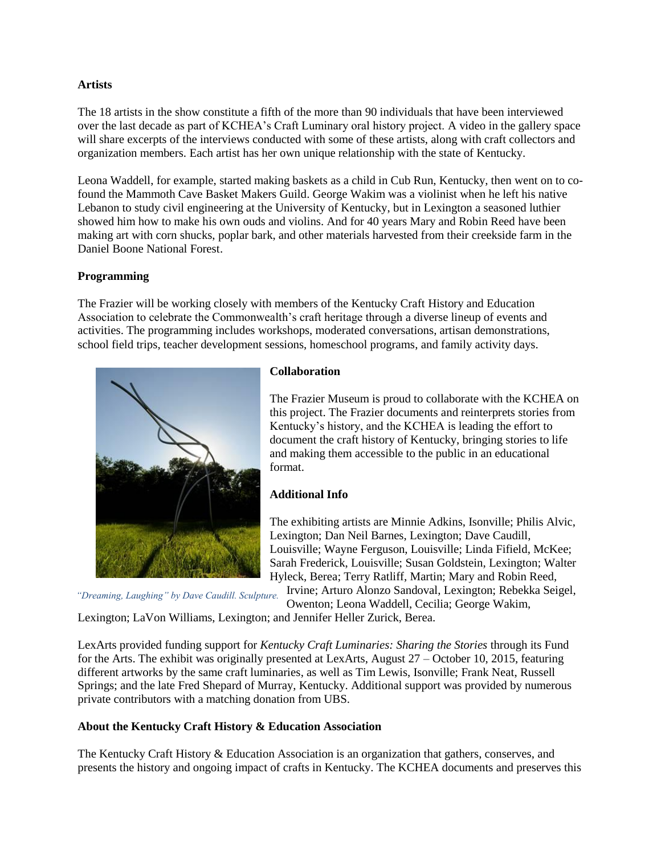#### **Artists**

The 18 artists in the show constitute a fifth of the more than 90 individuals that have been interviewed over the last decade as part of KCHEA's Craft Luminary oral history project. A video in the gallery space will share excerpts of the interviews conducted with some of these artists, along with craft collectors and organization members. Each artist has her own unique relationship with the state of Kentucky.

Leona Waddell, for example, started making baskets as a child in Cub Run, Kentucky, then went on to cofound the Mammoth Cave Basket Makers Guild. George Wakim was a violinist when he left his native Lebanon to study civil engineering at the University of Kentucky, but in Lexington a seasoned luthier showed him how to make his own ouds and violins. And for 40 years Mary and Robin Reed have been making art with corn shucks, poplar bark, and other materials harvested from their creekside farm in the Daniel Boone National Forest.

# **Programming**

The Frazier will be working closely with members of the Kentucky Craft History and Education Association to celebrate the Commonwealth's craft heritage through a diverse lineup of events and activities. The programming includes workshops, moderated conversations, artisan demonstrations, school field trips, teacher development sessions, homeschool programs, and family activity days.



# **Collaboration**

The Frazier Museum is proud to collaborate with the KCHEA on this project. The Frazier documents and reinterprets stories from Kentucky's history, and the KCHEA is leading the effort to document the craft history of Kentucky, bringing stories to life and making them accessible to the public in an educational format.

# **Additional Info**

The exhibiting artists are Minnie Adkins, Isonville; Philis Alvic, Lexington; Dan Neil Barnes, Lexington; Dave Caudill, Louisville; Wayne Ferguson, Louisville; Linda Fifield, McKee; Sarah Frederick, Louisville; Susan Goldstein, Lexington; Walter Hyleck, Berea; Terry Ratliff, Martin; Mary and Robin Reed, Irvine; Arturo Alonzo Sandoval, Lexington; Rebekka Seigel,

*"Dreaming, Laughing" by Dave Caudill. Sculpture.*

Owenton; Leona Waddell, Cecilia; George Wakim,

Lexington; LaVon Williams, Lexington; and Jennifer Heller Zurick, Berea.

LexArts provided funding support for *Kentucky Craft Luminaries: Sharing the Stories* through its Fund for the Arts. The exhibit was originally presented at LexArts, August 27 – October 10, 2015, featuring different artworks by the same craft luminaries, as well as Tim Lewis, Isonville; Frank Neat, Russell Springs; and the late Fred Shepard of Murray, Kentucky. Additional support was provided by numerous private contributors with a matching donation from UBS.

# **About the Kentucky Craft History & Education Association**

The Kentucky Craft History & Education Association is an organization that gathers, conserves, and presents the history and ongoing impact of crafts in Kentucky. The KCHEA documents and preserves this